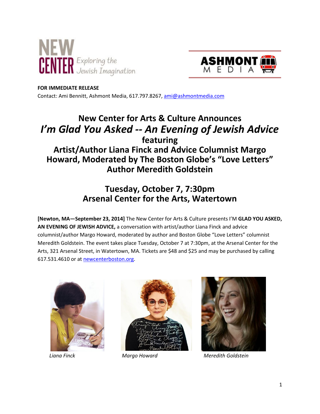



#### **FOR IMMEDIATE RELEASE**

Contact: Ami Bennitt, Ashmont Media, 617.797.8267, ami@ashmontmedia.com

# **New Center for Arts & Culture Announces**  *I'm Glad You Asked -- An Evening of Jewish Advice* **featuring Artist/Author Liana Finck and Advice Columnist Margo Howard, Moderated by The Boston Globe's "Love Letters" Author Meredith Goldstein**

## **Tuesday, October 7, 7:30pm Arsenal Center for the Arts, Watertown**

**[Newton, MA—September 23, 2014]** The New Center for Arts & Culture presents I'M **GLAD YOU ASKED, AN EVENING OF JEWISH ADVICE,** a conversation with artist/author Liana Finck and advice columnist/author Margo Howard, moderated by author and Boston Globe "Love Letters" columnist Meredith Goldstein. The event takes place Tuesday, October 7 at 7:30pm, at the Arsenal Center for the Arts, 321 Arsenal Street, in Watertown, MA. Tickets are \$48 and \$25 and may be purchased by calling 617.531.4610 or at newcenterboston.org.







 *Liana Finck Margo Howard Meredith Goldstein*